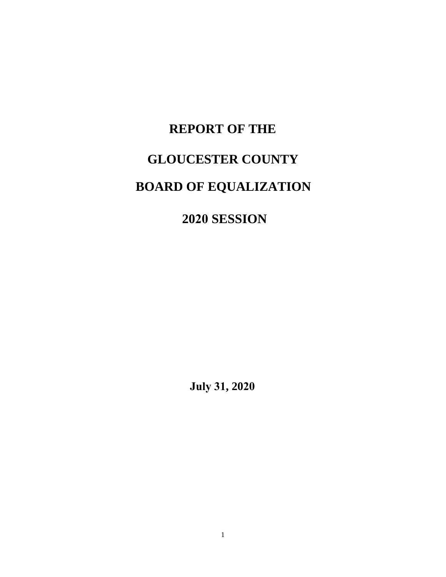# **REPORT OF THE GLOUCESTER COUNTY BOARD OF EQUALIZATION**

**2020 SESSION**

**July 31, 2020**

1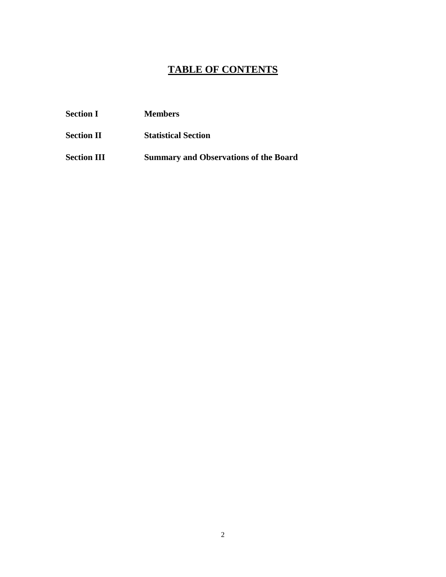## **TABLE OF CONTENTS**

| <b>Section I</b>   | <b>Members</b>                               |
|--------------------|----------------------------------------------|
| <b>Section II</b>  | <b>Statistical Section</b>                   |
| <b>Section III</b> | <b>Summary and Observations of the Board</b> |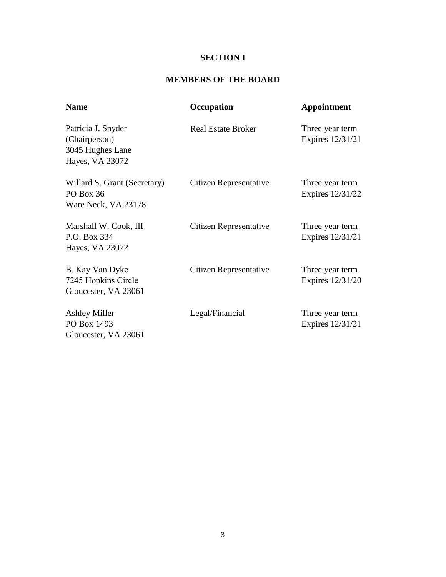## **SECTION I**

#### **MEMBERS OF THE BOARD**

| <b>Name</b>                                                                | Occupation                | Appointment                         |
|----------------------------------------------------------------------------|---------------------------|-------------------------------------|
| Patricia J. Snyder<br>(Chairperson)<br>3045 Hughes Lane<br>Hayes, VA 23072 | <b>Real Estate Broker</b> | Three year term<br>Expires 12/31/21 |
| Willard S. Grant (Secretary)<br>PO Box 36<br>Ware Neck, VA 23178           | Citizen Representative    | Three year term<br>Expires 12/31/22 |
| Marshall W. Cook, III<br>P.O. Box 334<br>Hayes, VA 23072                   | Citizen Representative    | Three year term<br>Expires 12/31/21 |
| B. Kay Van Dyke<br>7245 Hopkins Circle<br>Gloucester, VA 23061             | Citizen Representative    | Three year term<br>Expires 12/31/20 |
| <b>Ashley Miller</b><br>PO Box 1493<br>Gloucester, VA 23061                | Legal/Financial           | Three year term<br>Expires 12/31/21 |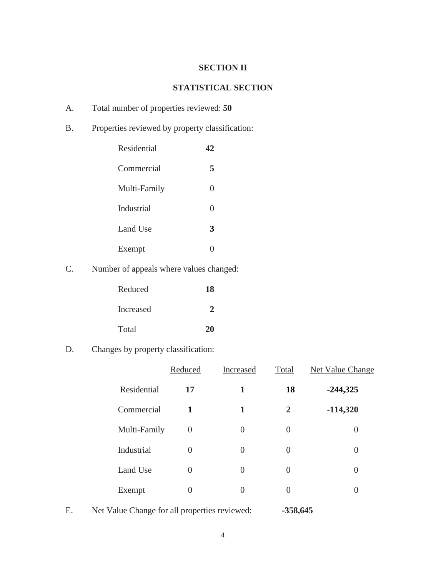## **SECTION II**

#### **STATISTICAL SECTION**

- A. Total number of properties reviewed: **50**
- B. Properties reviewed by property classification:

| Residential  |     |
|--------------|-----|
| Commercial   | 5   |
| Multi-Family | 0   |
| Industrial   | 0   |
| Land Use     | 3   |
| Exempt       | ( ) |

C. Number of appeals where values changed:

| Reduced   | 18 |
|-----------|----|
| Increased | 2  |
| Total     | 20 |

D. Changes by property classification:

|              | Reduced          | Increased      | Total          | Net Value Change |
|--------------|------------------|----------------|----------------|------------------|
| Residential  | 17               | 1              | 18             | $-244,325$       |
| Commercial   | 1                | 1              | $\overline{2}$ | $-114,320$       |
| Multi-Family | $\boldsymbol{0}$ | $\Omega$       | 0              | 0                |
| Industrial   | 0                | $\theta$       | 0              | $\overline{0}$   |
| Land Use     | 0                | $\overline{0}$ | 0              | $\overline{0}$   |
| Exempt       | 0                | 0              | 0              | 0                |
|              |                  |                |                |                  |

E. Net Value Change for all properties reviewed: **-358,645**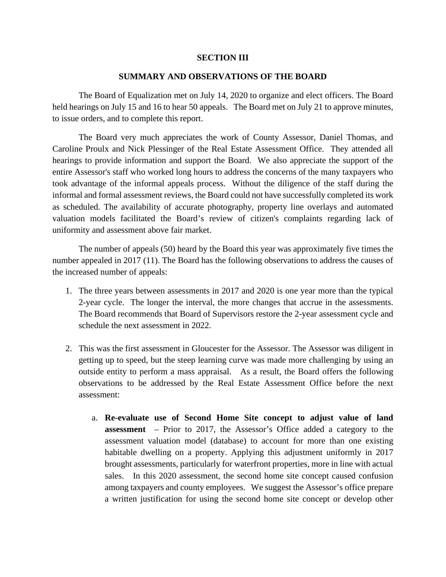#### **SECTION III**

#### **SUMMARY AND OBSERVATIONS OF THE BOARD**

The Board of Equalization met on July 14, 2020 to organize and elect officers. The Board held hearings on July 15 and 16 to hear 50 appeals. The Board met on July 21 to approve minutes, to issue orders, and to complete this report.

The Board very much appreciates the work of County Assessor, Daniel Thomas, and Caroline Proulx and Nick Plessinger of the Real Estate Assessment Office. They attended all hearings to provide information and support the Board. We also appreciate the support of the entire Assessor's staff who worked long hours to address the concerns of the many taxpayers who took advantage of the informal appeals process. Without the diligence of the staff during the informal and formal assessment reviews, the Board could not have successfully completed its work as scheduled. The availability of accurate photography, property line overlays and automated valuation models facilitated the Board's review of citizen's complaints regarding lack of uniformity and assessment above fair market.

The number of appeals (50) heard by the Board this year was approximately five times the number appealed in 2017 (11). The Board has the following observations to address the causes of the increased number of appeals:

- 1. The three years between assessments in 2017 and 2020 is one year more than the typical 2-year cycle. The longer the interval, the more changes that accrue in the assessments. The Board recommends that Board of Supervisors restore the 2-year assessment cycle and schedule the next assessment in 2022.
- 2. This was the first assessment in Gloucester for the Assessor. The Assessor was diligent in getting up to speed, but the steep learning curve was made more challenging by using an outside entity to perform a mass appraisal. As a result, the Board offers the following observations to be addressed by the Real Estate Assessment Office before the next assessment:
	- a. **Re-evaluate use of Second Home Site concept to adjust value of land assessment** – Prior to 2017, the Assessor's Office added a category to the assessment valuation model (database) to account for more than one existing habitable dwelling on a property. Applying this adjustment uniformly in 2017 brought assessments, particularly for waterfront properties, more in line with actual sales. In this 2020 assessment, the second home site concept caused confusion among taxpayers and county employees. We suggest the Assessor's office prepare a written justification for using the second home site concept or develop other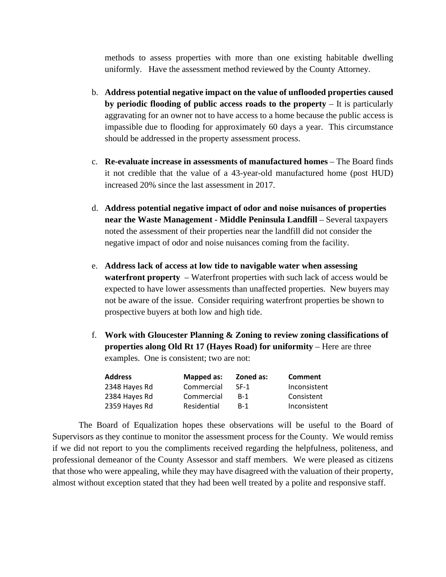methods to assess properties with more than one existing habitable dwelling uniformly. Have the assessment method reviewed by the County Attorney.

- b. **Address potential negative impact on the value of unflooded properties caused by periodic flooding of public access roads to the property** – It is particularly aggravating for an owner not to have access to a home because the public access is impassible due to flooding for approximately 60 days a year. This circumstance should be addressed in the property assessment process.
- c. **Re-evaluate increase in assessments of manufactured homes** The Board finds it not credible that the value of a 43-year-old manufactured home (post HUD) increased 20% since the last assessment in 2017.
- d. **Address potential negative impact of odor and noise nuisances of properties near the Waste Management - Middle Peninsula Landfill** – Several taxpayers noted the assessment of their properties near the landfill did not consider the negative impact of odor and noise nuisances coming from the facility.
- e. **Address lack of access at low tide to navigable water when assessing waterfront property** – Waterfront properties with such lack of access would be expected to have lower assessments than unaffected properties. New buyers may not be aware of the issue. Consider requiring waterfront properties be shown to prospective buyers at both low and high tide.
- f. **Work with Gloucester Planning & Zoning to review zoning classifications of properties along Old Rt 17 (Hayes Road) for uniformity** – Here are three examples. One is consistent; two are not:

| <b>Address</b> | Mapped as:  | Zoned as:  | Comment      |
|----------------|-------------|------------|--------------|
| 2348 Hayes Rd  | Commercial  | $SF-1$     | Inconsistent |
| 2384 Hayes Rd  | Commercial  | <b>B-1</b> | Consistent   |
| 2359 Hayes Rd  | Residential | $B-1$      | Inconsistent |

The Board of Equalization hopes these observations will be useful to the Board of Supervisors as they continue to monitor the assessment process for the County. We would remiss if we did not report to you the compliments received regarding the helpfulness, politeness, and professional demeanor of the County Assessor and staff members. We were pleased as citizens that those who were appealing, while they may have disagreed with the valuation of their property, almost without exception stated that they had been well treated by a polite and responsive staff.